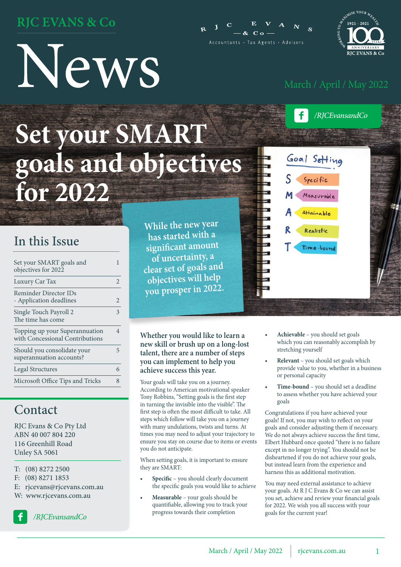### **RJC EVANS & Co**

# News





*/RJCEvansandCo*

### **Set your SMART goals and objectives for 2022**

### In this Issue

| Set your SMART goals and<br>objectives for 2022                   |                       |
|-------------------------------------------------------------------|-----------------------|
| Luxury Car Tax                                                    | $\mathcal{D}_{\cdot}$ |
| Reminder Director IDs<br>- Application deadlines                  | 2                     |
| Single Touch Payroll 2<br>The time has come                       | 3                     |
| Topping up your Superannuation<br>with Concessional Contributions | 4                     |
| Should you consolidate your<br>superannuation accounts?           | 5                     |
| <b>Legal Structures</b>                                           | 6                     |
| Microsoft Office Tips and Tricks                                  |                       |

### Contact

RJC Evans & Co Pty Ltd ABN 40 007 804 220 116 Greenhill Road Unley SA 5061

- T: (08) 8272 2500
- F: (08) 8271 1853
- E: rjcevans@rjcevans.com.au
- W: www.rjcevans.com.au



*/RJCEvansandCo*

**While the new year has started with a significant amount of uncertainty, a clear set of goals an<sup>d</sup> objectives will help you prosper in 2022.** 

### **Whether you would like to learn a new skill or brush up on a long-lost talent, there are a number of steps you can implement to help you achieve success this year.**

Your goals will take you on a journey. According to American motivational speaker Tony Robbins, "Setting goals is the first step in turning the invisible into the visible". The first step is often the most difficult to take. All steps which follow will take you on a journey with many undulations, twists and turns. At times you may need to adjust your trajectory to ensure you stay on course due to items or events you do not anticipate.

When setting goals, it is important to ensure they are SMART:

- **• Specific** you should clearly document the specific goals you would like to achieve
- **• Measurable**  your goals should be quantifiable, allowing you to track your progress towards their completion



- **• Achievable**  you should set goals which you can reasonably accomplish by stretching yourself
- **• Relevant**  you should set goals which provide value to you, whether in a business or personal capacity
- **• Time-bound** you should set a deadline to assess whether you have achieved your goals

Congratulations if you have achieved your goals! If not, you may wish to reflect on your goals and consider adjusting them if necessary. We do not always achieve success the first time, Elbert Hubbard once quoted "there is no failure except in no longer trying". You should not be disheartened if you do not achieve your goals, but instead learn from the experience and harness this as additional motivation.

You may need external assistance to achieve your goals. At R J C Evans & Co we can assist you set, achieve and review your financial goals for 2022. We wish you all success with your goals for the current year!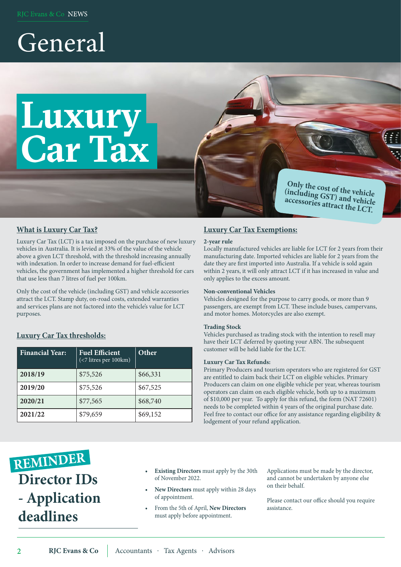### General

### **Luxury Car Tax**

**Only the cost of the vehicle (including GST) and vehicle accessories attract the LCT.**

### **What is Luxury Car Tax?**

Luxury Car Tax (LCT) is a tax imposed on the purchase of new luxury vehicles in Australia. It is levied at 33% of the value of the vehicle above a given LCT threshold, with the threshold increasing annually with indexation. In order to increase demand for fuel-efficient vehicles, the government has implemented a higher threshold for cars that use less than 7 litres of fuel per 100km.

Only the cost of the vehicle (including GST) and vehicle accessories attract the LCT. Stamp duty, on-road costs, extended warranties and services plans are not factored into the vehicle's value for LCT purposes.

### **Luxury Car Tax thresholds:**

| <b>Financial Year:</b> | <b>Fuel Efficient</b><br>$\left( < 7 \right)$ litres per 100 km) | Other    |
|------------------------|------------------------------------------------------------------|----------|
| 2018/19                | \$75,526                                                         | \$66,331 |
| 2019/20                | \$75,526                                                         | \$67,525 |
| 2020/21                | \$77,565                                                         | \$68,740 |
| 2021/22                | \$79,659                                                         | \$69,152 |

### **Luxury Car Tax Exemptions:**

#### **2-year rule**

Locally manufactured vehicles are liable for LCT for 2 years from their manufacturing date. Imported vehicles are liable for 2 years from the date they are first imported into Australia. If a vehicle is sold again within 2 years, it will only attract LCT if it has increased in value and only applies to the excess amount.

#### **Non-conventional Vehicles**

Vehicles designed for the purpose to carry goods, or more than 9 passengers, are exempt from LCT. These include buses, campervans, and motor homes. Motorcycles are also exempt.

#### **Trading Stock**

Vehicles purchased as trading stock with the intention to resell may have their LCT deferred by quoting your ABN. The subsequent customer will be held liable for the LCT.

#### **Luxury Car Tax Refunds:**

Primary Producers and tourism operators who are registered for GST are entitled to claim back their LCT on eligible vehicles. Primary Producers can claim on one eligible vehicle per year, whereas tourism operators can claim on each eligible vehicle, both up to a maximum of \$10,000 per year. To apply for this refund, the form (NAT 72601) needs to be completed within 4 years of the original purchase date. Feel free to contact our office for any assistance regarding eligibility & lodgement of your refund application.

- REMINDER **Director IDs - Application deadlines**
- **• Existing Directors** must apply by the 30th of November 2022.
- **• New Directors** must apply within 28 days of appointment.
- From the 5th of April, **New Directors** must apply before appointment.

Applications must be made by the director, and cannot be undertaken by anyone else on their behalf.

Please contact our office should you require assistance.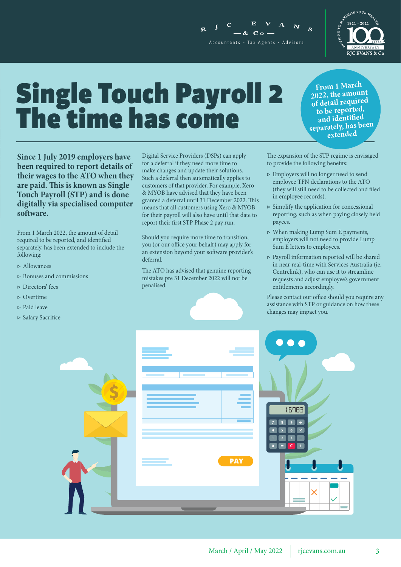

### Single Touch Payroll 2 The time has come

**Since 1 July 2019 employers have been required to report details of their wages to the ATO when they are paid. This is known as Single Touch Payroll (STP) and is done digitally via specialised computer software.**

From 1 March 2022, the amount of detail required to be reported, and identified separately, has been extended to include the following:

- ▷ Allowances
- ▷ Bonuses and commissions
- ▷ Directors' fees
- ▷ Overtime
- ▷ Paid leave
- ▷ Salary Sacrifice

Digital Service Providers (DSPs) can apply for a deferral if they need more time to make changes and update their solutions. Such a deferral then automatically applies to customers of that provider. For example, Xero & MYOB have advised that they have been granted a deferral until 31 December 2022. This means that all customers using Xero & MYOB for their payroll will also have until that date to report their first STP Phase 2 pay run.

 $\mathbf{I}$ 

 $-8c$  C  $\alpha$  – Accountants · Tax Agents · Advisors

Should you require more time to transition, you (or our office your behalf) may apply for an extension beyond your software provider's deferral.

The ATO has advised that genuine reporting mistakes pre 31 December 2022 will not be penalised.

The expansion of the STP regime is envisaged

- ▷ Employers will no longer need to send employee TFN declarations to the ATO (they will still need to be collected and filed in employee records).
- $\triangleright$  Simplify the application for concessional reporting, such as when paying closely held payees.
- ▷ When making Lump Sum E payments, employers will not need to provide Lump Sum E letters to employees.
- ▷ Payroll information reported will be shared in near real-time with Services Australia (ie. Centrelink), who can use it to streamline requests and adjust employee's government entitlements accordingly.

Please contact our office should you require any assistance with STP or guidance on how these changes may impact you.





**extended**

 $\mathbf{S}$ 

to provide the following benefits:



**From 1 March 2022, the amount of detail require<sup>d</sup>**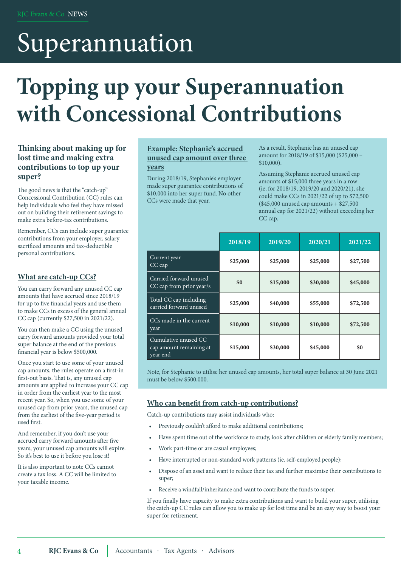### Superannuation

### **Topping up your Superannuation with Concessional Contributions**

### **Thinking about making up for lost time and making extra contributions to top up your super?**

The good news is that the "catch-up" Concessional Contribution (CC) rules can help individuals who feel they have missed out on building their retirement savings to make extra before-tax contributions.

Remember, CCs can include super guarantee contributions from your employer, salary sacrificed amounts and tax-deductible personal contributions.

### **What are catch-up CCs?**

You can carry forward any unused CC cap amounts that have accrued since 2018/19 for up to five financial years and use them to make CCs in excess of the general annual CC cap (currently \$27,500 in 2021/22).

You can then make a CC using the unused carry forward amounts provided your total super balance at the end of the previous financial year is below \$500,000.

Once you start to use some of your unused cap amounts, the rules operate on a first-in first-out basis. That is, any unused cap amounts are applied to increase your CC cap in order from the earliest year to the most recent year. So, when you use some of your unused cap from prior years, the unused cap from the earliest of the five-year period is used first.

And remember, if you don't use your accrued carry forward amounts after five years, your unused cap amounts will expire. So it's best to use it before you lose it!

It is also important to note CCs cannot create a tax loss. A CC will be limited to your taxable income.

#### **Example: Stephanie's accrued unused cap amount over three years**

During 2018/19, Stephanie's employer made super guarantee contributions of \$10,000 into her super fund. No other CCs were made that year.

As a result, Stephanie has an unused cap amount for 2018/19 of \$15,000 (\$25,000 – \$10,000).

Assuming Stephanie accrued unused cap amounts of \$15,000 three years in a row (ie, for 2018/19, 2019/20 and 2020/21), she could make CCs in 2021/22 of up to \$72,500 (\$45,000 unused cap amounts + \$27,500 annual cap for 2021/22) without exceeding her CC cap.

|                                                             | 2018/19  | 2019/20  | 2020/21  | 2021/22  |
|-------------------------------------------------------------|----------|----------|----------|----------|
| Current year<br>$CC$ cap                                    | \$25,000 | \$25,000 | \$25,000 | \$27,500 |
| Carried forward unused<br>CC cap from prior year/s          | \$0      | \$15,000 | \$30,000 | \$45,000 |
| Total CC cap including<br>carried forward unused            | \$25,000 | \$40,000 | \$55,000 | \$72,500 |
| CCs made in the current<br>year                             | \$10,000 | \$10,000 | \$10,000 | \$72,500 |
| Cumulative unused CC<br>cap amount remaining at<br>year end | \$15,000 | \$30,000 | \$45,000 | \$0      |

Note, for Stephanie to utilise her unused cap amounts, her total super balance at 30 June 2021 must be below \$500,000.

### **Who can benefit from catch-up contributions?**

Catch-up contributions may assist individuals who:

- Previously couldn't afford to make additional contributions;
- Have spent time out of the workforce to study, look after children or elderly family members;
- Work part-time or are casual employees;
- Have interrupted or non-standard work patterns (ie, self-employed people);
- Dispose of an asset and want to reduce their tax and further maximise their contributions to super;
- Receive a windfall/inheritance and want to contribute the funds to super.

If you finally have capacity to make extra contributions and want to build your super, utilising the catch-up CC rules can allow you to make up for lost time and be an easy way to boost your super for retirement.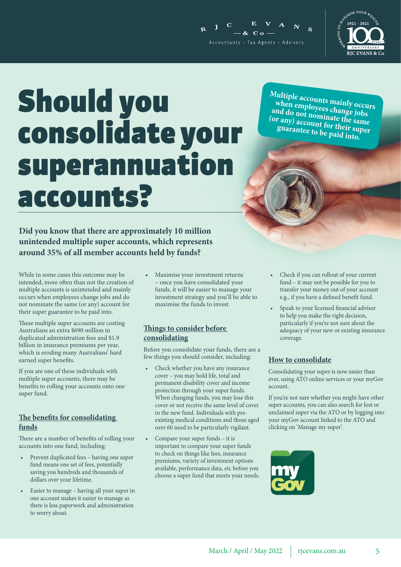



### Should you consolidate your superannuation accounts?

**Did you know that there are approximately 10 million unintended multiple super accounts, which represents around 35% of all member accounts held by funds?**

While in some cases this outcome may be intended, more often than not the creation of multiple accounts is unintended and mainly occurs when employees change jobs and do not nominate the same (or any) account for their super guarantee to be paid into.

These multiple super accounts are costing Australians an extra \$690 million in duplicated administration fees and \$1.9 billion in insurance premiums per year, which is eroding many Australians' hard earned super benefits.

If you are one of these individuals with multiple super accounts, there may be benefits to rolling your accounts onto one super fund.

### **The benefits for consolidating funds**

There are a number of benefits of rolling your accounts into one fund, including:

- Prevent duplicated fees having one super fund means one set of fees, potentially saving you hundreds and thousands of dollars over your lifetime.
- Easier to manage having all your super in one account makes it easier to manage as there is less paperwork and administration to worry about.

• Maximise your investment returns – once you have consolidated your funds, it will be easier to manage your investment strategy and you'll be able to maximise the funds to invest.

### **Things to consider before consolidating**

Before you consolidate your funds, there are a few things you should consider, including:

- Check whether you have any insurance cover – you may hold life, total and permanent disability cover and income protection through your super funds. When changing funds, you may lose this cover or not receive the same level of cover in the new fund. Individuals with preexisting medical conditions and those aged over 60 need to be particularly vigilant.
- Compare your super funds it is important to compare your super funds to check on things like fees, insurance premiums, variety of investment options available, performance data, etc before you choose a super fund that meets your needs.

**Multiple accounts mainly occurs when employees change jobs**  and do not nominate the same<br>(or any) account for their super<br>guarantee to be paid into. (or any) account for their super

- Check if you can rollout of your current fund – it may not be possible for you to transfer your money out of your account e.g., if you have a defined benefit fund.
- Speak to your licensed financial advisor to help you make the right decision, particularly if you're not sure about the adequacy of your new or existing insurance coverage.

### **How to consolidate**

Consolidating your super is now easier than ever, using ATO online services or your myGov account.

If you're not sure whether you might have other super accounts, you can also search for lost or unclaimed super via the ATO or by logging into your myGov account linked to the ATO and clicking on 'Manage my super'.

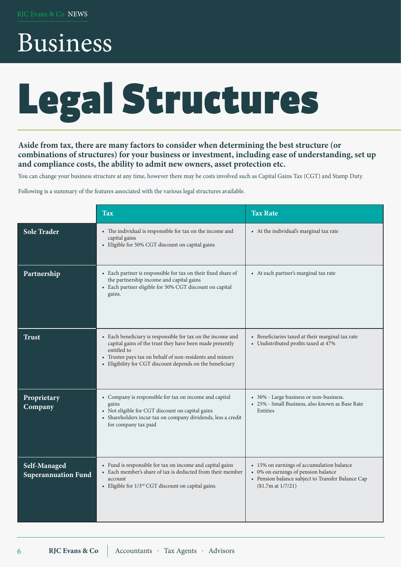### Business

## Legal Structures

### **Aside from tax, there are many factors to consider when determining the best structure (or combinations of structures) for your business or investment, including ease of understanding, set up and compliance costs, the ability to admit new owners, asset protection etc.**

You can change your business structure at any time, however there may be costs involved such as Capital Gains Tax (CGT) and Stamp Duty.

Following is a summary of the features associated with the various legal structures available.

|                                            | <b>Tax</b>                                                                                                                                                                                                                                                      | <b>Tax Rate</b>                                                                                                                                             |
|--------------------------------------------|-----------------------------------------------------------------------------------------------------------------------------------------------------------------------------------------------------------------------------------------------------------------|-------------------------------------------------------------------------------------------------------------------------------------------------------------|
| <b>Sole Trader</b>                         | • The individual is responsible for tax on the income and<br>capital gains<br>• Eligible for 50% CGT discount on capital gains                                                                                                                                  | • At the individual's marginal tax rate                                                                                                                     |
| Partnership                                | • Each partner is responsible for tax on their fixed share of<br>the partnership income and capital gains<br>• Each partner eligible for 50% CGT discount on capital<br>gains.                                                                                  | • At each partner's marginal tax rate                                                                                                                       |
| <b>Trust</b>                               | • Each beneficiary is responsible for tax on the income and<br>capital gains of the trust they have been made presently<br>entitled to<br>• Trustee pays tax on behalf of non-residents and minors<br>• Eligibility for CGT discount depends on the beneficiary | • Beneficiaries taxed at their marginal tax rate<br>• Undistributed profits taxed at 47%                                                                    |
| Proprietary<br>Company                     | • Company is responsible for tax on income and capital<br>gains<br>• Not eligible for CGT discount on capital gains<br>• Shareholders incur tax on company dividends, less a credit<br>for company tax paid                                                     | • 30% - Large business or non-business.<br>• 25% - Small Business, also known as Base Rate<br>Entities                                                      |
| Self-Managed<br><b>Superannuation Fund</b> | • Fund is responsible for tax on income and capital gains<br>• Each member's share of tax is deducted from their member<br>account<br>• Eligible for 1/3 <sup>rd</sup> CGT discount on capital gains.                                                           | • 15% on earnings of accumulation balance<br>• 0% on earnings of pension balance<br>• Pension balance subject to Transfer Balance Cap<br>(\$1.7m at 1/7/21) |

6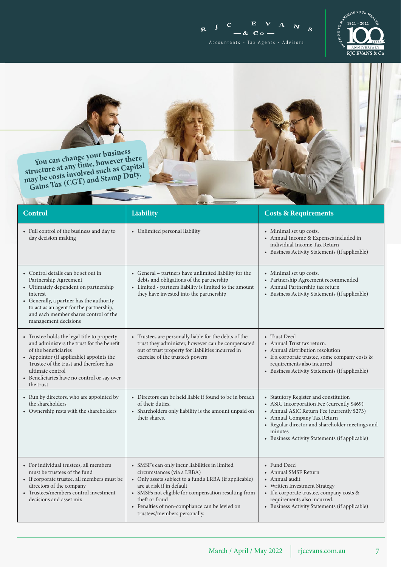$R$  J C  $\mathbf{E}$  **V**  $N^{\dagger}$  s  $\mathbf{A}$  $-$  &  $c$  o  $-$ Accountants · Tax Agents · Advisors



**You can change your business structure at any time, however there**  structure at any time, nowever<br>tructure at any olved such as Capital<br>may be costs involved such any Duty. ay be costs involved such any buty.<br>Gains Tax (CGT) and Stamp Duty.

| <b>Control</b>                                                                                                                                                                                                                                                                         | Liability                                                                                                                                                                                                                                                                                                                       | <b>Costs &amp; Requirements</b>                                                                                                                                                                                                                                                  |
|----------------------------------------------------------------------------------------------------------------------------------------------------------------------------------------------------------------------------------------------------------------------------------------|---------------------------------------------------------------------------------------------------------------------------------------------------------------------------------------------------------------------------------------------------------------------------------------------------------------------------------|----------------------------------------------------------------------------------------------------------------------------------------------------------------------------------------------------------------------------------------------------------------------------------|
| • Full control of the business and day to<br>day decision making                                                                                                                                                                                                                       | • Unlimited personal liability                                                                                                                                                                                                                                                                                                  | • Minimal set up costs.<br>• Annual Income & Expenses included in<br>individual Income Tax Return<br>• Business Activity Statements (if applicable)                                                                                                                              |
| • Control details can be set out in<br>Partnership Agreement<br>• Ultimately dependent on partnership<br>interest<br>• Generally, a partner has the authority<br>to act as an agent for the partnership,<br>and each member shares control of the<br>management decisions              | • General - partners have unlimited liability for the<br>debts and obligations of the partnership<br>• Limited - partners liability is limited to the amount<br>they have invested into the partnership                                                                                                                         | • Minimal set up costs.<br>• Partnership Agreement recommended<br>• Annual Partnership tax return<br>• Business Activity Statements (if applicable)                                                                                                                              |
| • Trustee holds the legal title to property<br>and administers the trust for the benefit<br>of the beneficiaries<br>• Appointor (if applicable) appoints the<br>Trustee of the trust and therefore has<br>ultimate control<br>• Beneficiaries have no control or say over<br>the trust | • Trustees are personally liable for the debts of the<br>trust they administer, however can be compensated<br>out of trust property for liabilities incurred in<br>exercise of the trustee's powers                                                                                                                             | • Trust Deed<br>• Annual Trust tax return.<br>• Annual distribution resolution<br>• If a corporate trustee, some company costs &<br>requirements also incurred<br>• Business Activity Statements (if applicable)                                                                 |
| • Run by directors, who are appointed by<br>the shareholders<br>• Ownership rests with the shareholders                                                                                                                                                                                | • Directors can be held liable if found to be in breach<br>of their duties.<br>• Shareholders only liability is the amount unpaid on<br>their shares.                                                                                                                                                                           | • Statutory Register and constitution<br>• ASIC Incorporation Fee (currently \$469)<br>• Annual ASIC Return Fee (currently \$273)<br>• Annual Company Tax Return<br>• Regular director and shareholder meetings and<br>minutes<br>• Business Activity Statements (if applicable) |
| • For individual trustees, all members<br>must be trustees of the fund<br>• If corporate trustee, all members must be<br>directors of the company<br>• Trustees/members control investment<br>decisions and asset mix                                                                  | • SMSF's can only incur liabilities in limited<br>circumstances (via a LRBA)<br>• Only assets subject to a fund's LRBA (if applicable)<br>are at risk if in default<br>• SMSFs not eligible for compensation resulting from<br>theft or fraud<br>• Penalties of non-compliance can be levied on<br>trustees/members personally. | • Fund Deed<br>• Annual SMSF Return<br>• Annual audit<br>• Written Investment Strategy<br>• If a corporate trustee, company costs &<br>requirements also incurred.<br>• Business Activity Statements (if applicable)                                                             |